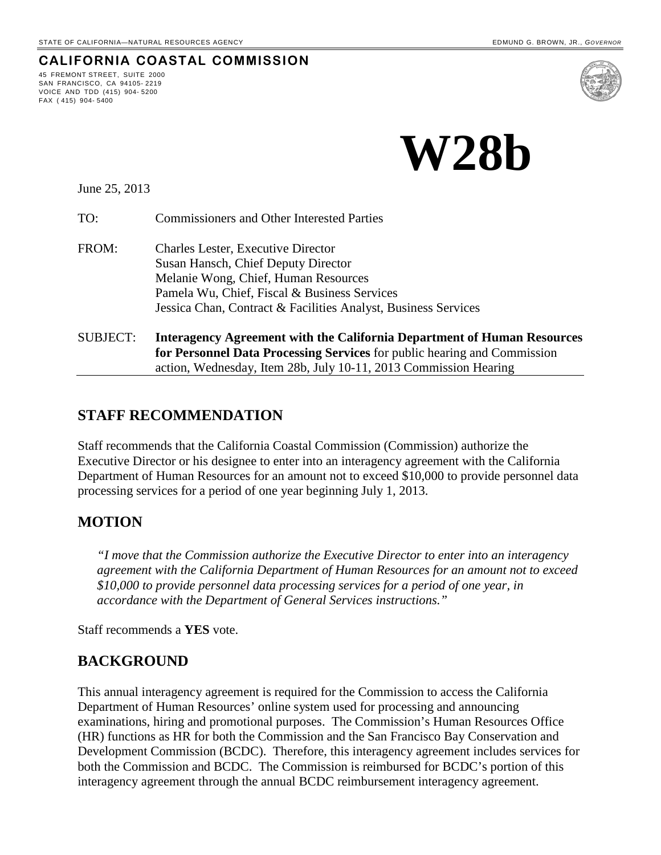**CALIFORNIA COASTAL COMMISSION**



June 25, 2013

45 FREMONT STREET, SUITE 2000 SAN FRANCISCO, CA 94105- 2219 VOICE AND TDD (415) 904- 5200

FAX ( 415) 904- 5400

TO: Commissioners and Other Interested Parties

- FROM: Charles Lester, Executive Director Susan Hansch, Chief Deputy Director Melanie Wong, Chief, Human Resources Pamela Wu, Chief, Fiscal & Business Services Jessica Chan, Contract & Facilities Analyst, Business Services
- SUBJECT: **Interagency Agreement with the California Department of Human Resources for Personnel Data Processing Services** for public hearing and Commission action, Wednesday, Item 28b, July 10-11, 2013 Commission Hearing

## **STAFF RECOMMENDATION**

Staff recommends that the California Coastal Commission (Commission) authorize the Executive Director or his designee to enter into an interagency agreement with the California Department of Human Resources for an amount not to exceed \$10,000 to provide personnel data processing services for a period of one year beginning July 1, 2013.

## **MOTION**

*"I move that the Commission authorize the Executive Director to enter into an interagency agreement with the California Department of Human Resources for an amount not to exceed \$10,000 to provide personnel data processing services for a period of one year, in accordance with the Department of General Services instructions."* 

Staff recommends a **YES** vote.

### **BACKGROUND**

This annual interagency agreement is required for the Commission to access the California Department of Human Resources' online system used for processing and announcing examinations, hiring and promotional purposes. The Commission's Human Resources Office (HR) functions as HR for both the Commission and the San Francisco Bay Conservation and Development Commission (BCDC). Therefore, this interagency agreement includes services for both the Commission and BCDC. The Commission is reimbursed for BCDC's portion of this interagency agreement through the annual BCDC reimbursement interagency agreement.